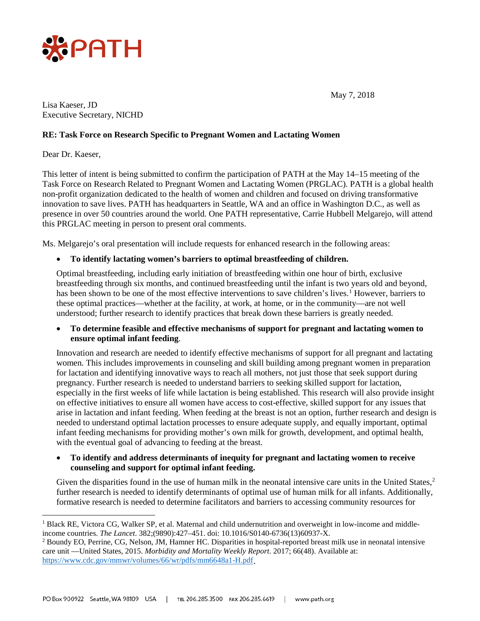

May 7, 2018

Lisa Kaeser, JD Executive Secretary, NICHD

## **RE: Task Force on Research Specific to Pregnant Women and Lactating Women**

Dear Dr. Kaeser,

This letter of intent is being submitted to confirm the participation of PATH at the May 14–15 meeting of the Task Force on Research Related to Pregnant Women and Lactating Women (PRGLAC). PATH is a global health non-profit organization dedicated to the health of women and children and focused on driving transformative innovation to save lives. PATH has headquarters in Seattle, WA and an office in Washington D.C., as well as presence in over 50 countries around the world. One PATH representative, Carrie Hubbell Melgarejo, will attend this PRGLAC meeting in person to present oral comments.

Ms. Melgarejo's oral presentation will include requests for enhanced research in the following areas:

## • **To identify lactating women's barriers to optimal breastfeeding of children.**

Optimal breastfeeding, including early initiation of breastfeeding within one hour of birth, exclusive breastfeeding through six months, and continued breastfeeding until the infant is two years old and beyond, has been shown to be one of the most effective interventions to save children's lives.<sup>[1](#page-0-0)</sup> However, barriers to these optimal practices—whether at the facility, at work, at home, or in the community—are not well understood; further research to identify practices that break down these barriers is greatly needed.

## • **To determine feasible and effective mechanisms of support for pregnant and lactating women to ensure optimal infant feeding**.

Innovation and research are needed to identify effective mechanisms of support for all pregnant and lactating women. This includes improvements in counseling and skill building among pregnant women in preparation for lactation and identifying innovative ways to reach all mothers, not just those that seek support during pregnancy. Further research is needed to understand barriers to seeking skilled support for lactation, especially in the first weeks of life while lactation is being established. This research will also provide insight on effective initiatives to ensure all women have access to cost-effective, skilled support for any issues that arise in lactation and infant feeding. When feeding at the breast is not an option, further research and design is needed to understand optimal lactation processes to ensure adequate supply, and equally important, optimal infant feeding mechanisms for providing mother's own milk for growth, development, and optimal health, with the eventual goal of advancing to feeding at the breast.

• **To identify and address determinants of inequity for pregnant and lactating women to receive counseling and support for optimal infant feeding.**

Given the disparities found in the use of human milk in the neonatal intensive care units in the United States, $2$ further research is needed to identify determinants of optimal use of human milk for all infants. Additionally, formative research is needed to determine facilitators and barriers to accessing community resources for

<span id="page-0-0"></span><sup>&</sup>lt;sup>1</sup> Black RE, Victora CG, Walker SP, et al. Maternal and child undernutrition and overweight in low-income and middleincome countries. *The Lancet*. 382;(9890):427–451. doi: 10.1016/S0140-6736(13)60937-X.

<span id="page-0-1"></span><sup>2</sup> Boundy EO, Perrine, CG, Nelson, JM, Hamner HC. Disparities in hospital-reported breast milk use in neonatal intensive care unit —United States, 2015. *Morbidity and Mortality Weekly Report*. 2017; 66(48). Available at: <https://www.cdc.gov/mmwr/volumes/66/wr/pdfs/mm6648a1-H.pdf>.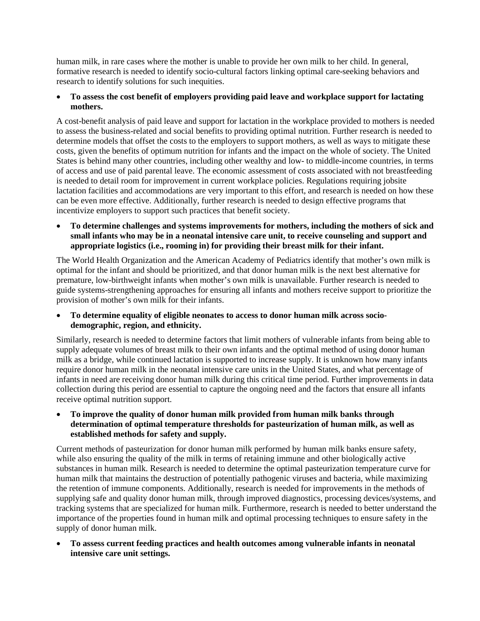human milk, in rare cases where the mother is unable to provide her own milk to her child. In general, formative research is needed to identify socio-cultural factors linking optimal care-seeking behaviors and research to identify solutions for such inequities.

## • **To assess the cost benefit of employers providing paid leave and workplace support for lactating mothers.**

A cost-benefit analysis of paid leave and support for lactation in the workplace provided to mothers is needed to assess the business-related and social benefits to providing optimal nutrition. Further research is needed to determine models that offset the costs to the employers to support mothers, as well as ways to mitigate these costs, given the benefits of optimum nutrition for infants and the impact on the whole of society. The United States is behind many other countries, including other wealthy and low- to middle-income countries, in terms of access and use of paid parental leave. The economic assessment of costs associated with not breastfeeding is needed to detail room for improvement in current workplace policies. Regulations requiring jobsite lactation facilities and accommodations are very important to this effort, and research is needed on how these can be even more effective. Additionally, further research is needed to design effective programs that incentivize employers to support such practices that benefit society.

• **To determine challenges and systems improvements for mothers, including the mothers of sick and small infants who may be in a neonatal intensive care unit, to receive counseling and support and appropriate logistics (i.e., rooming in) for providing their breast milk for their infant.**

The World Health Organization and the American Academy of Pediatrics identify that mother's own milk is optimal for the infant and should be prioritized, and that donor human milk is the next best alternative for premature, low-birthweight infants when mother's own milk is unavailable. Further research is needed to guide systems-strengthening approaches for ensuring all infants and mothers receive support to prioritize the provision of mother's own milk for their infants.

• **To determine equality of eligible neonates to access to donor human milk across sociodemographic, region, and ethnicity.**

Similarly, research is needed to determine factors that limit mothers of vulnerable infants from being able to supply adequate volumes of breast milk to their own infants and the optimal method of using donor human milk as a bridge, while continued lactation is supported to increase supply. It is unknown how many infants require donor human milk in the neonatal intensive care units in the United States, and what percentage of infants in need are receiving donor human milk during this critical time period. Further improvements in data collection during this period are essential to capture the ongoing need and the factors that ensure all infants receive optimal nutrition support.

• **To improve the quality of donor human milk provided from human milk banks through determination of optimal temperature thresholds for pasteurization of human milk, as well as established methods for safety and supply.**

Current methods of pasteurization for donor human milk performed by human milk banks ensure safety, while also ensuring the quality of the milk in terms of retaining immune and other biologically active substances in human milk. Research is needed to determine the optimal pasteurization temperature curve for human milk that maintains the destruction of potentially pathogenic viruses and bacteria, while maximizing the retention of immune components. Additionally, research is needed for improvements in the methods of supplying safe and quality donor human milk, through improved diagnostics, processing devices/systems, and tracking systems that are specialized for human milk. Furthermore, research is needed to better understand the importance of the properties found in human milk and optimal processing techniques to ensure safety in the supply of donor human milk.

• **To assess current feeding practices and health outcomes among vulnerable infants in neonatal intensive care unit settings.**